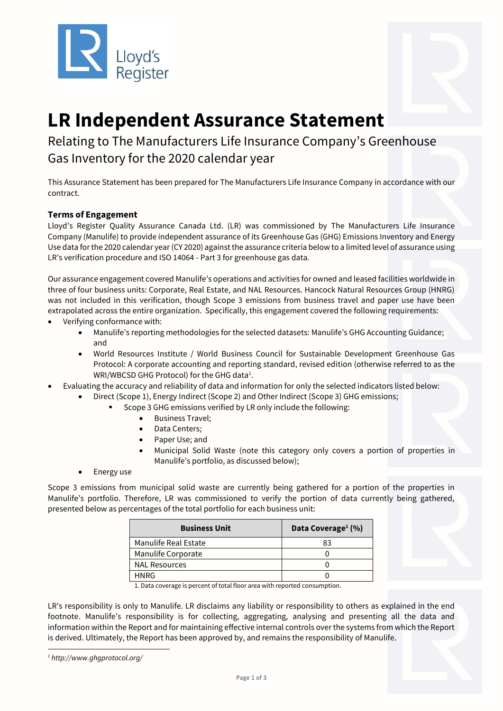



# **LR Independent Assurance Statement**

# Relating to The Manufacturers Life Insurance Company's Greenhouse Gas Inventory for the 2020 calendar year

This Assurance Statement has been prepared for The Manufacturers Life Insurance Company in accordance with our contract.

# **Terms of Engagement**

Lloyd's Register Quality Assurance Canada Ltd. (LR) was commissioned by The Manufacturers Life Insurance Company (Manulife) to provide independent assurance of its Greenhouse Gas (GHG) Emissions Inventory and Energy Use data for the 2020 calendar year (CY 2020) against the assurance criteria below to a limited level of assurance using LR's verification procedure and ISO 14064 - Part 3 for greenhouse gas data*.* 

Our assurance engagement covered Manulife's operations and activities for owned and leased facilities worldwide in three of four business units: Corporate, Real Estate, and NAL Resources. Hancock Natural Resources Group (HNRG) was not included in this verification, though Scope 3 emissions from business travel and paper use have been extrapolated across the entire organization. Specifically, this engagement covered the following requirements:

- Verifying conformance with:
	- Manulife's reporting methodologies for the selected datasets: Manulife's GHG Accounting Guidance; and
	- World Resources Institute / World Business Council for Sustainable Development Greenhouse Gas Protocol: A corporate accounting and reporting standard, revised edition (otherwise referred to as the WRI/WBCSD GHG Protocol) for the GHG data<sup>1</sup>.
- Evaluating the accuracy and reliability of data and information for only the selected indicators listed below:
	- Direct (Scope 1), Energy Indirect (Scope 2) and Other Indirect (Scope 3) GHG emissions;
		- Scope 3 GHG emissions verified by LR only include the following:
			- Business Travel;
			- Data Centers;
			- Paper Use; and
			- Municipal Solid Waste (note this category only covers a portion of properties in Manulife's portfolio, as discussed below);
	- Energy use

Scope 3 emissions from municipal solid waste are currently being gathered for a portion of the properties in Manulife's portfolio. Therefore, LR was commissioned to verify the portion of data currently being gathered, presented below as percentages of the total portfolio for each business unit:

| <b>Business Unit</b> | Data Coverage <sup>1</sup> (%) |  |
|----------------------|--------------------------------|--|
| Manulife Real Estate | 83                             |  |
| Manulife Corporate   |                                |  |
| <b>NAL Resources</b> |                                |  |
| HNRG                 |                                |  |

1. Data coverage is percent of total floor area with reported consumption.

LR's responsibility is only to Manulife. LR disclaims any liability or responsibility to others as explained in the end footnote. Manulife's responsibility is for collecting, aggregating, analysing and presenting all the data and information within the Report and for maintaining effective internal controls over the systems from which the Report is derived. Ultimately, the Report has been approved by, and remains the responsibility of Manulife.

*<sup>1</sup> http://www.ghgprotocol.org/*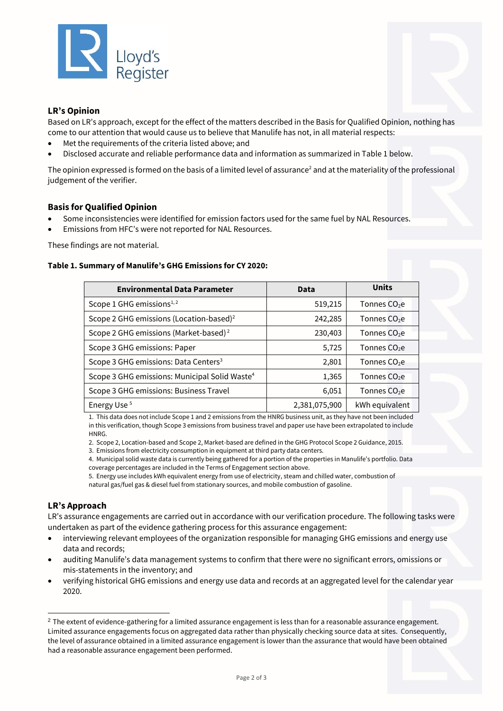

### **LR's Opinion**

Based on LR's approach, except for the effect of the matters described in the Basis for Qualified Opinion, nothing has come to our attention that would cause us to believe that Manulife has not, in all material respects:

- Met the requirements of the criteria listed above; and
- Disclosed accurate and reliable performance data and information as summarized in Table 1 below.

The opinion expressed is formed on the basis of a limited level of assurance<sup>2</sup> and at the materiality of the professional judgement of the verifier.

#### **Basis for Qualified Opinion**

- Some inconsistencies were identified for emission factors used for the same fuel by NAL Resources.
- Emissions from HFC's were not reported for NAL Resources.

These findings are not material.

#### **Table 1. Summary of Manulife's GHG Emissions for CY 2020:**

| <b>Environmental Data Parameter</b>                       | Data          | <b>Units</b>             |
|-----------------------------------------------------------|---------------|--------------------------|
| Scope 1 GHG emissions <sup>1,2</sup>                      | 519,215       | Tonnes $CO2e$            |
| Scope 2 GHG emissions (Location-based) <sup>2</sup>       | 242,285       | Tonnes $CO2e$            |
| Scope 2 GHG emissions (Market-based) <sup>2</sup>         | 230,403       | Tonnes $CO2e$            |
| Scope 3 GHG emissions: Paper                              | 5,725         | Tonnes $CO2e$            |
| Scope 3 GHG emissions: Data Centers <sup>3</sup>          | 2,801         | Tonnes $CO2e$            |
| Scope 3 GHG emissions: Municipal Solid Waste <sup>4</sup> | 1,365         | Tonnes $CO2e$            |
| Scope 3 GHG emissions: Business Travel                    | 6,051         | Tonnes CO <sub>2</sub> e |
| Energy Use <sup>5</sup>                                   | 2,381,075,900 | kWh equivalent           |

1. This data does not include Scope 1 and 2 emissions from the HNRG business unit, as they have not been included in this verification, though Scope 3 emissions from business travel and paper use have been extrapolated to include HNRG.

2. Scope 2, Location-based and Scope 2, Market-based are defined in the GHG Protocol Scope 2 Guidance, 2015.

3. Emissions from electricity consumption in equipment at third party data centers.

4. Municipal solid waste data is currently being gathered for a portion of the properties in Manulife's portfolio. Data coverage percentages are included in the Terms of Engagement section above.

5. Energy use includes kWh equivalent energy from use of electricity, steam and chilled water, combustion of natural gas/fuel gas & diesel fuel from stationary sources, and mobile combustion of gasoline.

# **LR's Approach**

LR's assurance engagements are carried out in accordance with our verification procedure. The following tasks were undertaken as part of the evidence gathering process for this assurance engagement:

- interviewing relevant employees of the organization responsible for managing GHG emissions and energy use data and records;
- auditing Manulife's data management systems to confirm that there were no significant errors, omissions or mis-statements in the inventory; and
- verifying historical GHG emissions and energy use data and records at an aggregated level for the calendar year 2020.

<sup>&</sup>lt;sup>2</sup> The extent of evidence-gathering for a limited assurance engagement is less than for a reasonable assurance engagement. Limited assurance engagements focus on aggregated data rather than physically checking source data at sites. Consequently, the level of assurance obtained in a limited assurance engagement is lower than the assurance that would have been obtained had a reasonable assurance engagement been performed.